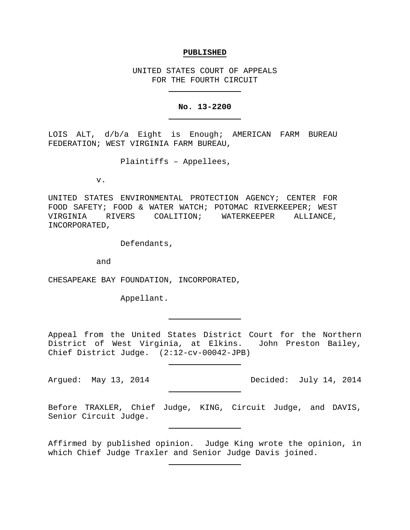## **PUBLISHED**

UNITED STATES COURT OF APPEALS FOR THE FOURTH CIRCUIT

## **No. 13-2200**

LOIS ALT, d/b/a Eight is Enough; AMERICAN FARM BUREAU FEDERATION; WEST VIRGINIA FARM BUREAU,

Plaintiffs – Appellees,

v.

UNITED STATES ENVIRONMENTAL PROTECTION AGENCY; CENTER FOR FOOD SAFETY; FOOD & WATER WATCH; POTOMAC RIVERKEEPER; WEST VIRGINIA RIVERS COALITION; WATERKEEPER ALLIANCE, INCORPORATED,

Defendants,

and

CHESAPEAKE BAY FOUNDATION, INCORPORATED,

Appellant.

Appeal from the United States District Court for the Northern District of West Virginia, at Elkins. John Preston Bailey, Chief District Judge. (2:12-cv-00042-JPB)

Before TRAXLER, Chief Judge, KING, Circuit Judge, and DAVIS, Senior Circuit Judge.

Affirmed by published opinion. Judge King wrote the opinion, in which Chief Judge Traxler and Senior Judge Davis joined.

Argued: May 13, 2014 Decided: July 14, 2014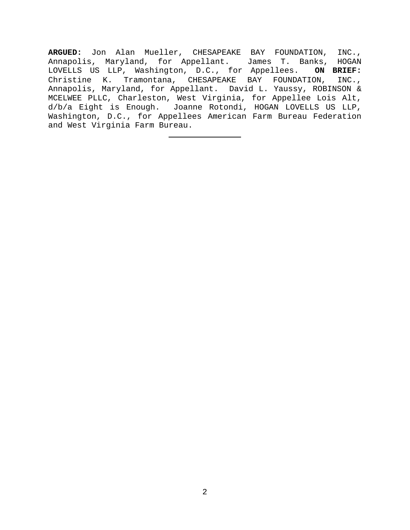**ARGUED:** Jon Alan Mueller, CHESAPEAKE BAY FOUNDATION, INC., Annapolis, Maryland, for Appellant. James T. Banks, HOGAN<br>LOVELLS US LLP, Washington, D.C., for Appellees. ON BRIEF: LOVELLS US LLP, Washington, D.C., for Appellees. Christine K. Tramontana, CHESAPEAKE BAY FOUNDATION, INC., Annapolis, Maryland, for Appellant. David L. Yaussy, ROBINSON & MCELWEE PLLC, Charleston, West Virginia, for Appellee Lois Alt, d/b/a Eight is Enough. Joanne Rotondi, HOGAN LOVELLS US LLP, Washington, D.C., for Appellees American Farm Bureau Federation and West Virginia Farm Bureau.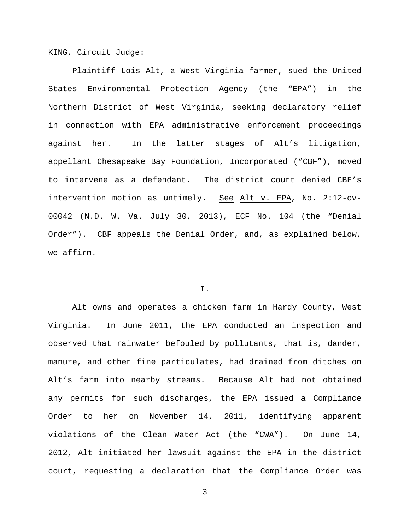KING, Circuit Judge:

Plaintiff Lois Alt, a West Virginia farmer, sued the United States Environmental Protection Agency (the "EPA") in the Northern District of West Virginia, seeking declaratory relief in connection with EPA administrative enforcement proceedings against her. In the latter stages of Alt's litigation, appellant Chesapeake Bay Foundation, Incorporated ("CBF"), moved to intervene as a defendant. The district court denied CBF's intervention motion as untimely. See Alt v. EPA, No. 2:12-cv-00042 (N.D. W. Va. July 30, 2013), ECF No. 104 (the "Denial Order"). CBF appeals the Denial Order, and, as explained below, we affirm.

## I.

Alt owns and operates a chicken farm in Hardy County, West Virginia. In June 2011, the EPA conducted an inspection and observed that rainwater befouled by pollutants, that is, dander, manure, and other fine particulates, had drained from ditches on Alt's farm into nearby streams. Because Alt had not obtained any permits for such discharges, the EPA issued a Compliance Order to her on November 14, 2011, identifying apparent violations of the Clean Water Act (the "CWA"). On June 14, 2012, Alt initiated her lawsuit against the EPA in the district court, requesting a declaration that the Compliance Order was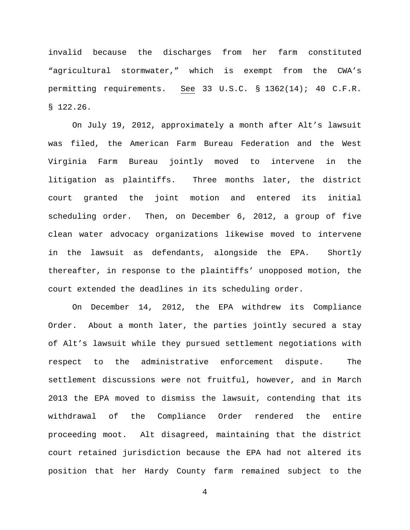invalid because the discharges from her farm constituted "agricultural stormwater," which is exempt from the CWA's permitting requirements. See 33 U.S.C. § 1362(14); 40 C.F.R. § 122.26.

On July 19, 2012, approximately a month after Alt's lawsuit was filed, the American Farm Bureau Federation and the West Virginia Farm Bureau jointly moved to intervene in the litigation as plaintiffs. Three months later, the district court granted the joint motion and entered its initial scheduling order. Then, on December 6, 2012, a group of five clean water advocacy organizations likewise moved to intervene in the lawsuit as defendants, alongside the EPA. Shortly thereafter, in response to the plaintiffs' unopposed motion, the court extended the deadlines in its scheduling order.

On December 14, 2012, the EPA withdrew its Compliance Order. About a month later, the parties jointly secured a stay of Alt's lawsuit while they pursued settlement negotiations with respect to the administrative enforcement dispute. The settlement discussions were not fruitful, however, and in March 2013 the EPA moved to dismiss the lawsuit, contending that its withdrawal of the Compliance Order rendered the entire proceeding moot. Alt disagreed, maintaining that the district court retained jurisdiction because the EPA had not altered its position that her Hardy County farm remained subject to the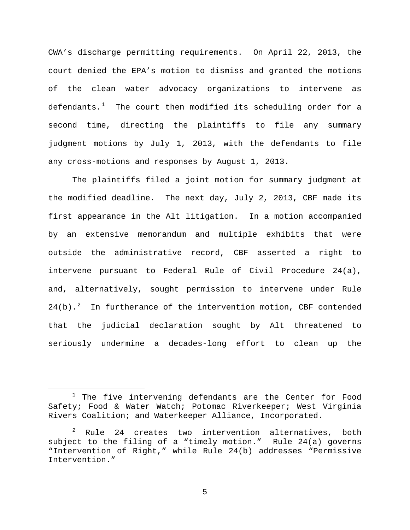CWA's discharge permitting requirements. On April 22, 2013, the court denied the EPA's motion to dismiss and granted the motions of the clean water advocacy organizations to intervene as defendants. $^1$  $^1$  The court then modified its scheduling order for a second time, directing the plaintiffs to file any summary judgment motions by July 1, 2013, with the defendants to file any cross-motions and responses by August 1, 2013.

The plaintiffs filed a joint motion for summary judgment at the modified deadline. The next day, July 2, 2013, CBF made its first appearance in the Alt litigation. In a motion accompanied by an extensive memorandum and multiple exhibits that were outside the administrative record, CBF asserted a right to intervene pursuant to Federal Rule of Civil Procedure 24(a), and, alternatively, sought permission to intervene under Rule [2](#page-4-1)4(b).<sup>2</sup> In furtherance of the intervention motion, CBF contended that the judicial declaration sought by Alt threatened to seriously undermine a decades-long effort to clean up the

<span id="page-4-0"></span><sup>&</sup>lt;sup>1</sup> The five intervening defendants are the Center for Food Safety; Food & Water Watch; Potomac Riverkeeper; West Virginia Rivers Coalition; and Waterkeeper Alliance, Incorporated.

<span id="page-4-1"></span><sup>2</sup> Rule 24 creates two intervention alternatives, both subject to the filing of a "timely motion." Rule 24(a) governs "Intervention of Right," while Rule 24(b) addresses "Permissive Intervention."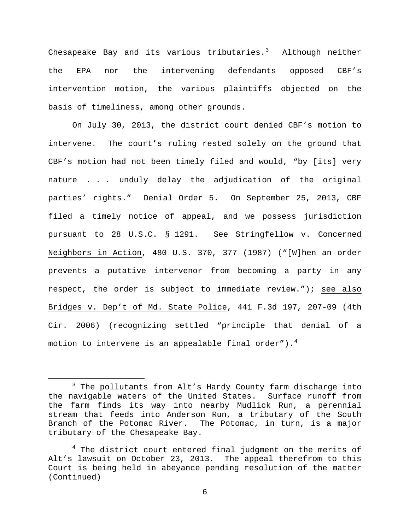Chesapeake Bay and its various tributaries. $^3$  $^3$  Although neither the EPA nor the intervening defendants opposed CBF's intervention motion, the various plaintiffs objected on the basis of timeliness, among other grounds.

On July 30, 2013, the district court denied CBF's motion to intervene. The court's ruling rested solely on the ground that CBF's motion had not been timely filed and would, "by [its] very nature . . . unduly delay the adjudication of the original parties' rights." Denial Order 5. On September 25, 2013, CBF filed a timely notice of appeal, and we possess jurisdiction pursuant to 28 U.S.C. § 1291. See Stringfellow v. Concerned Neighbors in Action, 480 U.S. 370, 377 (1987) ("[W]hen an order prevents a putative intervenor from becoming a party in any respect, the order is subject to immediate review."); see also Bridges v. Dep't of Md. State Police, 441 F.3d 197, 207-09 (4th Cir. 2006) (recognizing settled "principle that denial of a motion to intervene is an appealable final order"). $^4$  $^4$ 

<span id="page-5-0"></span><sup>&</sup>lt;sup>3</sup> The pollutants from Alt's Hardy County farm discharge into the navigable waters of the United States. Surface runoff from the farm finds its way into nearby Mudlick Run, a perennial stream that feeds into Anderson Run, a tributary of the South Branch of the Potomac River. The Potomac, in turn, is a major tributary of the Chesapeake Bay.

<span id="page-5-1"></span> $4$  The district court entered final judgment on the merits of Alt's lawsuit on October 23, 2013. The appeal therefrom to this Court is being held in abeyance pending resolution of the matter (Continued)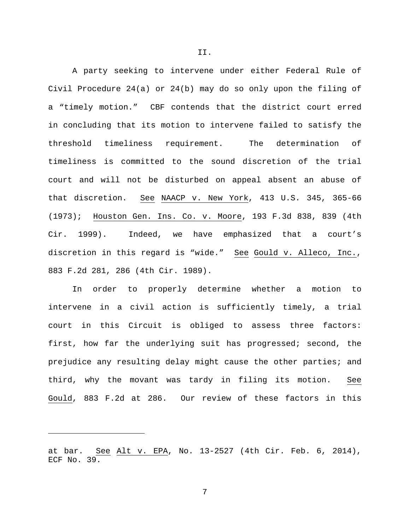A party seeking to intervene under either Federal Rule of Civil Procedure 24(a) or 24(b) may do so only upon the filing of a "timely motion." CBF contends that the district court erred in concluding that its motion to intervene failed to satisfy the threshold timeliness requirement. The determination of timeliness is committed to the sound discretion of the trial court and will not be disturbed on appeal absent an abuse of that discretion. See NAACP v. New York, 413 U.S. 345, 365-66 (1973); Houston Gen. Ins. Co. v. Moore, 193 F.3d 838, 839 (4th Cir. 1999). Indeed, we have emphasized that a court's discretion in this regard is "wide." See Gould v. Alleco, Inc., 883 F.2d 281, 286 (4th Cir. 1989).

In order to properly determine whether a motion to intervene in a civil action is sufficiently timely, a trial court in this Circuit is obliged to assess three factors: first, how far the underlying suit has progressed; second, the prejudice any resulting delay might cause the other parties; and third, why the movant was tardy in filing its motion. See Gould, 883 F.2d at 286. Our review of these factors in this

Ĩ.

II.

at bar. See Alt v. EPA, No. 13-2527 (4th Cir. Feb. 6, 2014), ECF No. 39.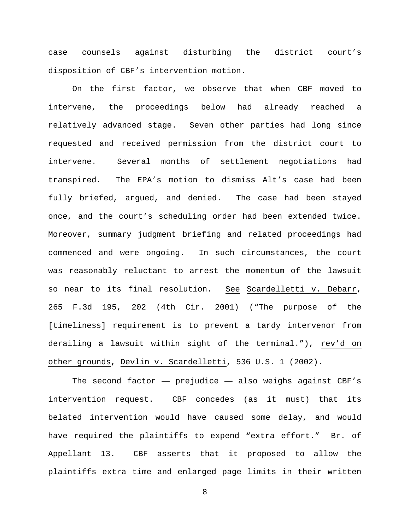case counsels against disturbing the district court's disposition of CBF's intervention motion.

On the first factor, we observe that when CBF moved to intervene, the proceedings below had already reached a relatively advanced stage. Seven other parties had long since requested and received permission from the district court to intervene. Several months of settlement negotiations had transpired. The EPA's motion to dismiss Alt's case had been fully briefed, argued, and denied. The case had been stayed once, and the court's scheduling order had been extended twice. Moreover, summary judgment briefing and related proceedings had commenced and were ongoing. In such circumstances, the court was reasonably reluctant to arrest the momentum of the lawsuit so near to its final resolution. See Scardelletti v. Debarr, 265 F.3d 195, 202 (4th Cir. 2001) ("The purpose of the [timeliness] requirement is to prevent a tardy intervenor from derailing a lawsuit within sight of the terminal."), rev'd on other grounds, Devlin v. Scardelletti, 536 U.S. 1 (2002).

The second factor  $-$  prejudice  $-$  also weighs against CBF's intervention request. CBF concedes (as it must) that its belated intervention would have caused some delay, and would have required the plaintiffs to expend "extra effort." Br. of Appellant 13. CBF asserts that it proposed to allow the plaintiffs extra time and enlarged page limits in their written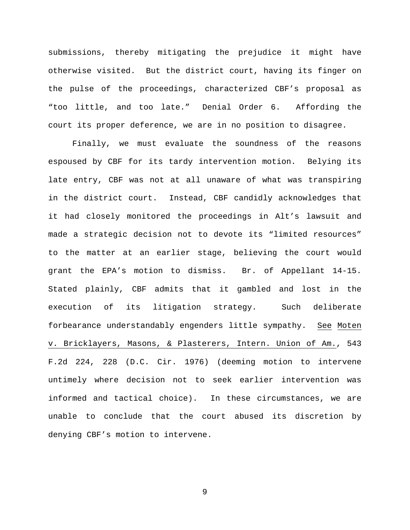submissions, thereby mitigating the prejudice it might have otherwise visited. But the district court, having its finger on the pulse of the proceedings, characterized CBF's proposal as "too little, and too late." Denial Order 6. Affording the court its proper deference, we are in no position to disagree.

Finally, we must evaluate the soundness of the reasons espoused by CBF for its tardy intervention motion. Belying its late entry, CBF was not at all unaware of what was transpiring in the district court. Instead, CBF candidly acknowledges that it had closely monitored the proceedings in Alt's lawsuit and made a strategic decision not to devote its "limited resources" to the matter at an earlier stage, believing the court would grant the EPA's motion to dismiss. Br. of Appellant 14-15. Stated plainly, CBF admits that it gambled and lost in the execution of its litigation strategy. Such deliberate forbearance understandably engenders little sympathy. See Moten v. Bricklayers, Masons, & Plasterers, Intern. Union of Am., 543 F.2d 224, 228 (D.C. Cir. 1976) (deeming motion to intervene untimely where decision not to seek earlier intervention was informed and tactical choice). In these circumstances, we are unable to conclude that the court abused its discretion by denying CBF's motion to intervene.